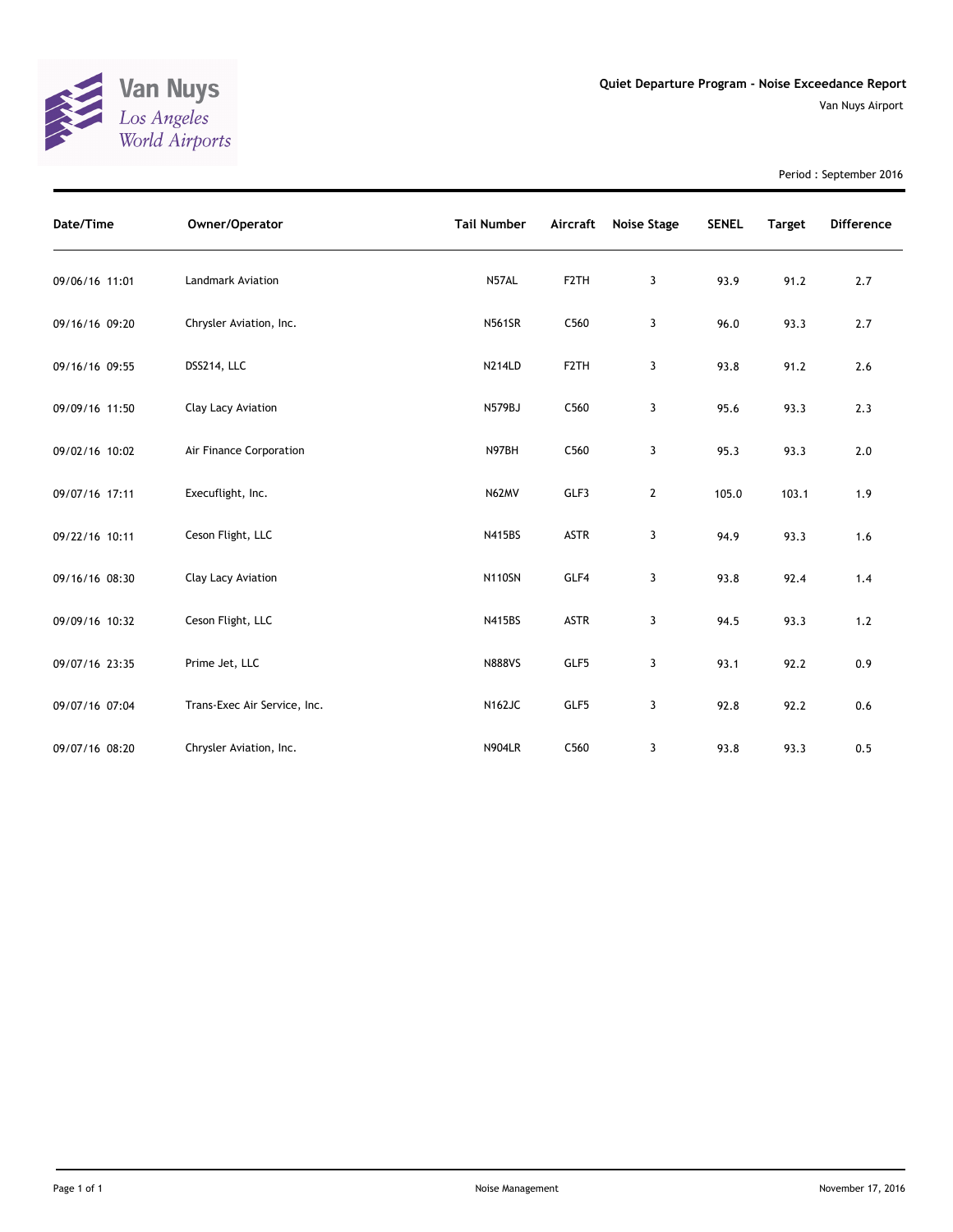

Period : September 2016

| Date/Time      | Owner/Operator               | <b>Tail Number</b> | Aircraft          | Noise Stage  | <b>SENEL</b> | <b>Target</b> | <b>Difference</b> |
|----------------|------------------------------|--------------------|-------------------|--------------|--------------|---------------|-------------------|
| 09/06/16 11:01 | Landmark Aviation            | N57AL              | F <sub>2</sub> TH | 3            | 93.9         | 91.2          | 2.7               |
| 09/16/16 09:20 | Chrysler Aviation, Inc.      | <b>N561SR</b>      | C560              | 3            | 96.0         | 93.3          | 2.7               |
| 09/16/16 09:55 | DSS214, LLC                  | <b>N214LD</b>      | F <sub>2</sub> TH | 3            | 93.8         | 91.2          | 2.6               |
| 09/09/16 11:50 | Clay Lacy Aviation           | N579BJ             | C560              | 3            | 95.6         | 93.3          | 2.3               |
| 09/02/16 10:02 | Air Finance Corporation      | N97BH              | C560              | 3            | 95.3         | 93.3          | 2.0               |
| 09/07/16 17:11 | Execuflight, Inc.            | N62MV              | GLF3              | $\mathbf{2}$ | 105.0        | 103.1         | 1.9               |
| 09/22/16 10:11 | Ceson Flight, LLC            | N415BS             | <b>ASTR</b>       | 3            | 94.9         | 93.3          | 1.6               |
| 09/16/16 08:30 | Clay Lacy Aviation           | <b>N110SN</b>      | GLF4              | 3            | 93.8         | 92.4          | 1.4               |
| 09/09/16 10:32 | Ceson Flight, LLC            | N415BS             | <b>ASTR</b>       | 3            | 94.5         | 93.3          | $1.2$             |
| 09/07/16 23:35 | Prime Jet, LLC               | <b>N888VS</b>      | GLF5              | 3            | 93.1         | 92.2          | 0.9               |
| 09/07/16 07:04 | Trans-Exec Air Service, Inc. | <b>N162JC</b>      | GLF5              | 3            | 92.8         | 92.2          | 0.6               |
| 09/07/16 08:20 | Chrysler Aviation, Inc.      | <b>N904LR</b>      | C560              | 3            | 93.8         | 93.3          | 0.5               |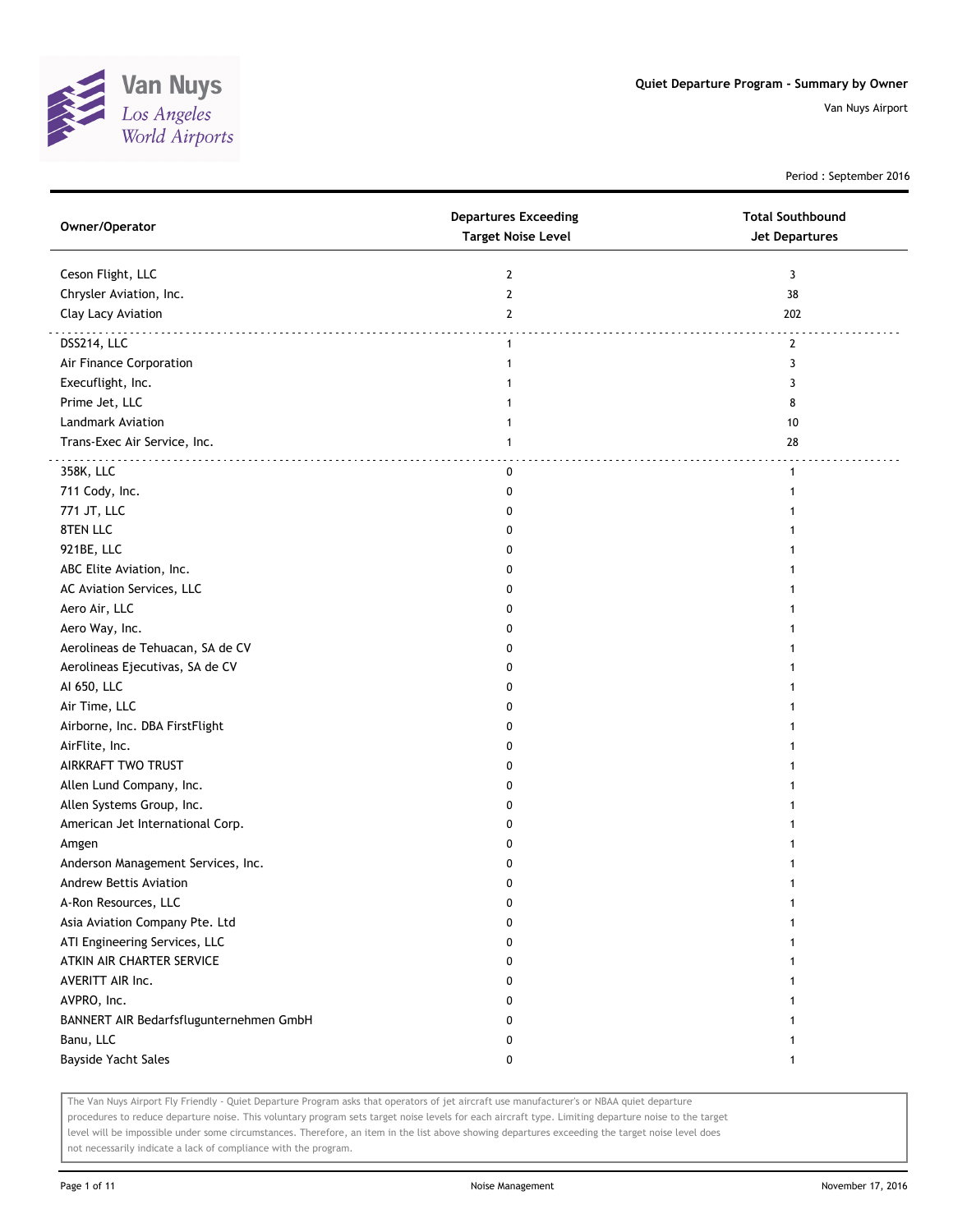

Period : September 2016

| Owner/Operator                          | <b>Departures Exceeding</b><br><b>Target Noise Level</b> | <b>Total Southbound</b><br><b>Jet Departures</b> |
|-----------------------------------------|----------------------------------------------------------|--------------------------------------------------|
| Ceson Flight, LLC                       | $\overline{2}$                                           | 3                                                |
| Chrysler Aviation, Inc.                 | $\mathbf{2}$                                             | 38                                               |
| Clay Lacy Aviation                      | $\overline{2}$                                           | 202                                              |
| DSS214, LLC                             | $\mathbf{1}$                                             | 2                                                |
| Air Finance Corporation                 | 1                                                        | 3                                                |
| Execuflight, Inc.                       |                                                          | 3                                                |
| Prime Jet, LLC                          |                                                          | 8                                                |
| Landmark Aviation                       | 1                                                        | 10                                               |
| Trans-Exec Air Service, Inc.            | 1                                                        | 28                                               |
| 358K, LLC                               | 0                                                        | $\mathbf{1}$                                     |
| 711 Cody, Inc.                          | 0                                                        | 1                                                |
| 771 JT, LLC                             | 0                                                        |                                                  |
| 8TEN LLC                                | 0                                                        |                                                  |
| 921BE, LLC                              | 0                                                        |                                                  |
| ABC Elite Aviation, Inc.                | 0                                                        | 1                                                |
| AC Aviation Services, LLC               | 0                                                        | 1                                                |
| Aero Air, LLC                           | 0                                                        |                                                  |
| Aero Way, Inc.                          | 0                                                        |                                                  |
| Aerolineas de Tehuacan, SA de CV        | 0                                                        |                                                  |
| Aerolineas Ejecutivas, SA de CV         | 0                                                        |                                                  |
| AI 650, LLC                             | 0                                                        |                                                  |
| Air Time, LLC                           | 0                                                        |                                                  |
| Airborne, Inc. DBA FirstFlight          | 0                                                        |                                                  |
| AirFlite, Inc.                          | 0                                                        |                                                  |
| AIRKRAFT TWO TRUST                      | 0                                                        | 1                                                |
| Allen Lund Company, Inc.                | 0                                                        | 1                                                |
| Allen Systems Group, Inc.               | 0                                                        | 1                                                |
| American Jet International Corp.        | 0                                                        |                                                  |
| Amgen                                   | 0                                                        |                                                  |
| Anderson Management Services, Inc.      | 0                                                        |                                                  |
| Andrew Bettis Aviation                  | 0                                                        |                                                  |
| A-Ron Resources, LLC                    | 0                                                        |                                                  |
| Asia Aviation Company Pte. Ltd          | 0                                                        |                                                  |
| ATI Engineering Services, LLC           | 0                                                        |                                                  |
| ATKIN AIR CHARTER SERVICE               | 0                                                        | 1                                                |
| AVERITT AIR Inc.                        | 0                                                        | 1                                                |
| AVPRO, Inc.                             | 0                                                        | 1                                                |
| BANNERT AIR Bedarfsflugunternehmen GmbH | 0                                                        | 1                                                |
| Banu, LLC                               | 0                                                        | 1                                                |
| Bayside Yacht Sales                     | 0                                                        | $\mathbf{1}$                                     |

The Van Nuys Airport Fly Friendly - Quiet Departure Program asks that operators of jet aircraft use manufacturer's or NBAA quiet departure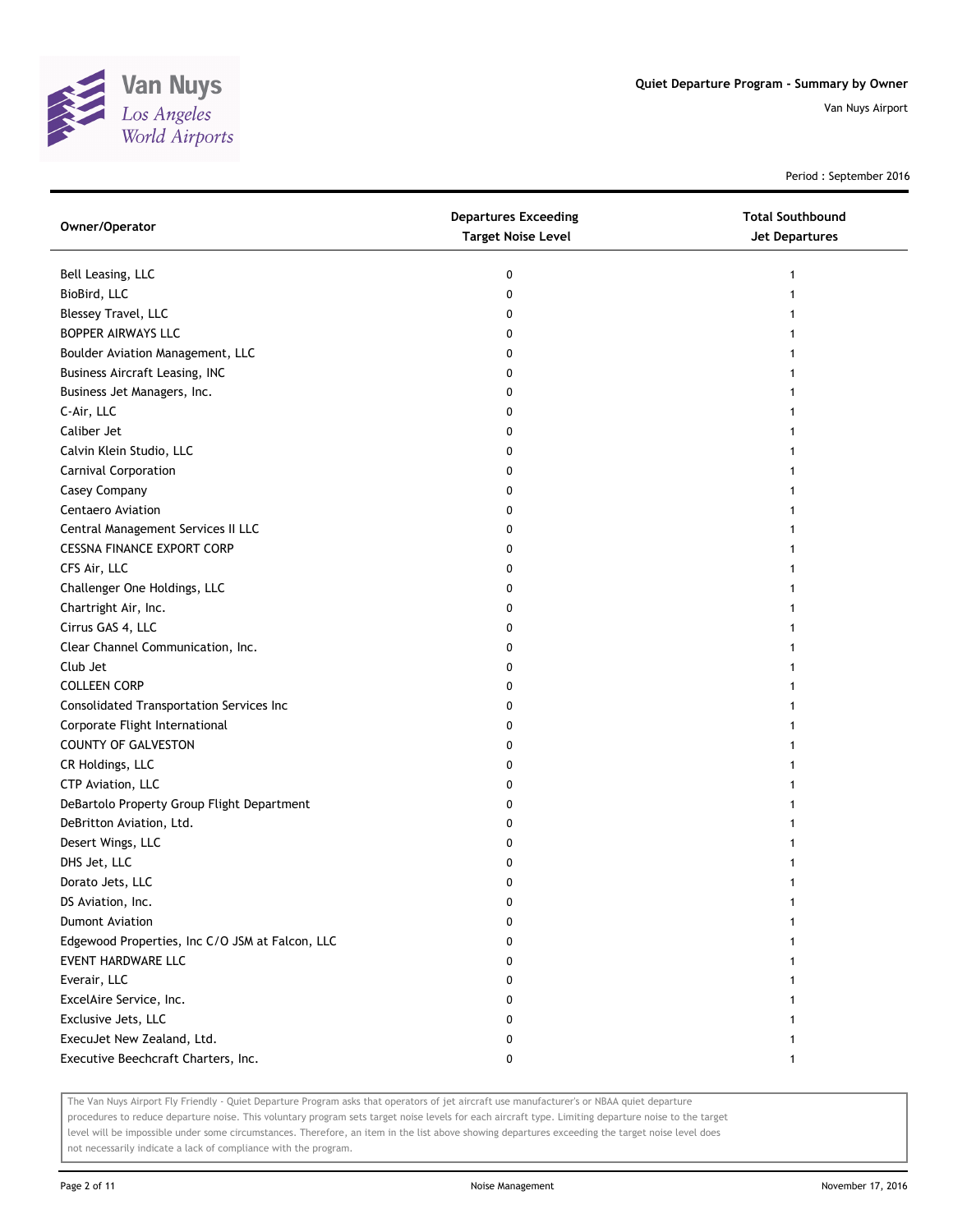

Period : September 2016

| Owner/Operator                                  | <b>Departures Exceeding</b><br><b>Target Noise Level</b> | <b>Total Southbound</b><br>Jet Departures |
|-------------------------------------------------|----------------------------------------------------------|-------------------------------------------|
| Bell Leasing, LLC                               | 0                                                        | 1                                         |
| BioBird, LLC                                    | 0                                                        |                                           |
| Blessey Travel, LLC                             | 0                                                        |                                           |
| BOPPER AIRWAYS LLC                              | 0                                                        |                                           |
| Boulder Aviation Management, LLC                | 0                                                        |                                           |
| <b>Business Aircraft Leasing, INC</b>           | 0                                                        |                                           |
| Business Jet Managers, Inc.                     | 0                                                        |                                           |
| C-Air, LLC                                      | 0                                                        |                                           |
| Caliber Jet                                     | 0                                                        |                                           |
| Calvin Klein Studio, LLC                        | 0                                                        |                                           |
| Carnival Corporation                            | 0                                                        |                                           |
| Casey Company                                   | 0                                                        |                                           |
| Centaero Aviation                               | 0                                                        |                                           |
| Central Management Services II LLC              | 0                                                        |                                           |
| <b>CESSNA FINANCE EXPORT CORP</b>               | 0                                                        |                                           |
| CFS Air, LLC                                    | 0                                                        |                                           |
| Challenger One Holdings, LLC                    | 0                                                        |                                           |
| Chartright Air, Inc.                            | 0                                                        |                                           |
| Cirrus GAS 4, LLC                               | 0                                                        |                                           |
| Clear Channel Communication, Inc.               | 0                                                        |                                           |
| Club Jet                                        | 0                                                        |                                           |
| <b>COLLEEN CORP</b>                             | 0                                                        |                                           |
| Consolidated Transportation Services Inc        | 0                                                        |                                           |
| Corporate Flight International                  | 0                                                        |                                           |
| COUNTY OF GALVESTON                             | 0                                                        |                                           |
| CR Holdings, LLC                                | 0                                                        |                                           |
| CTP Aviation, LLC                               | 0                                                        |                                           |
| DeBartolo Property Group Flight Department      | 0                                                        |                                           |
| DeBritton Aviation, Ltd.                        | 0                                                        |                                           |
| Desert Wings, LLC                               | 0                                                        |                                           |
| DHS Jet, LLC                                    | 0                                                        |                                           |
| Dorato Jets, LLC                                | 0                                                        |                                           |
| DS Aviation, Inc.                               | 0                                                        |                                           |
| <b>Dumont Aviation</b>                          | 0                                                        |                                           |
| Edgewood Properties, Inc C/O JSM at Falcon, LLC | 0                                                        |                                           |
| EVENT HARDWARE LLC                              | 0                                                        |                                           |
| Everair, LLC                                    | 0                                                        |                                           |
| ExcelAire Service, Inc.                         | 0                                                        |                                           |
| Exclusive Jets, LLC                             | 0                                                        |                                           |
| ExecuJet New Zealand, Ltd.                      | 0                                                        |                                           |
| Executive Beechcraft Charters, Inc.             | 0                                                        |                                           |

The Van Nuys Airport Fly Friendly - Quiet Departure Program asks that operators of jet aircraft use manufacturer's or NBAA quiet departure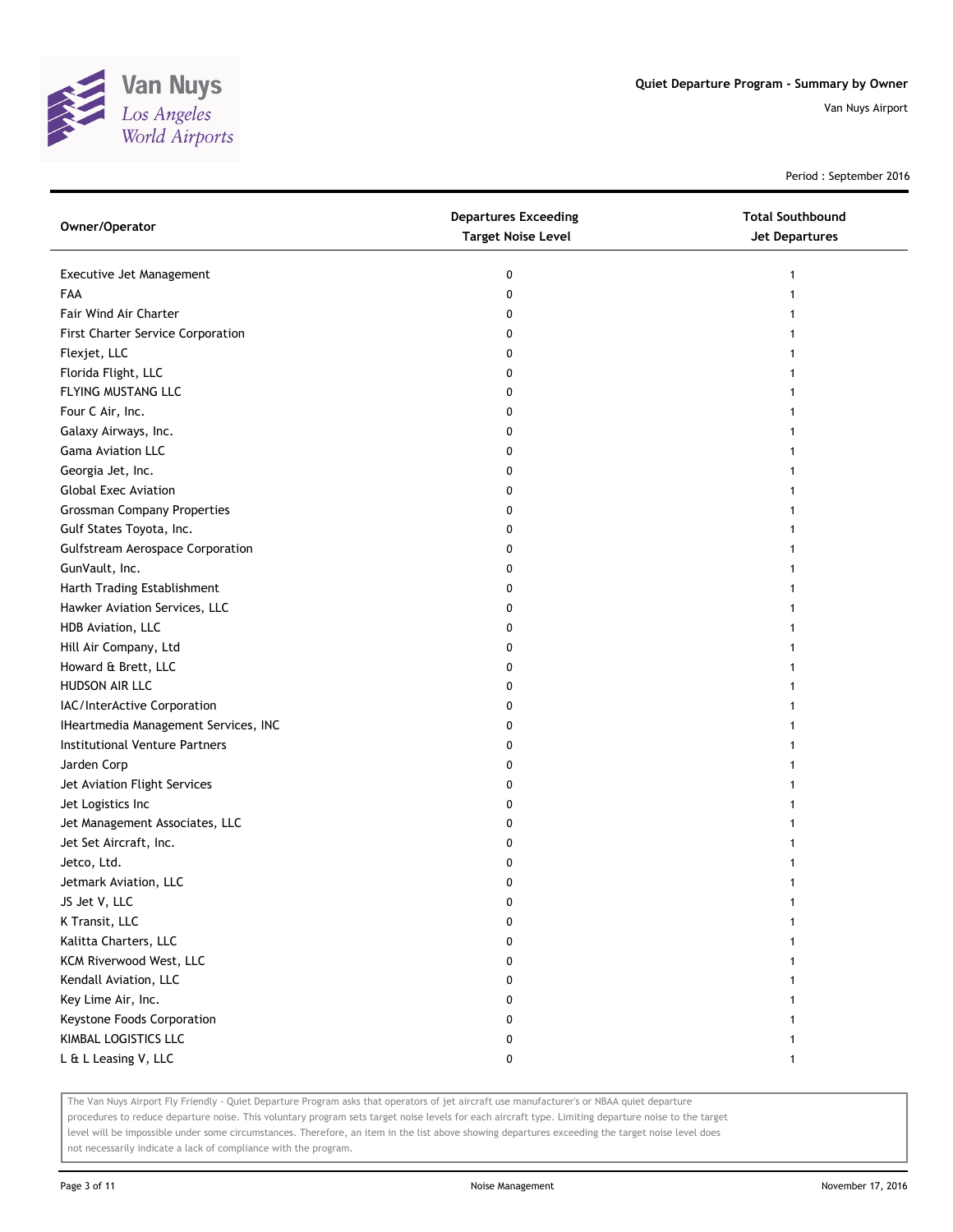

Period : September 2016

| Owner/Operator                          | <b>Departures Exceeding</b><br><b>Target Noise Level</b> | <b>Total Southbound</b><br><b>Jet Departures</b> |
|-----------------------------------------|----------------------------------------------------------|--------------------------------------------------|
| Executive Jet Management                | 0                                                        | 1                                                |
| FAA                                     | 0                                                        |                                                  |
| Fair Wind Air Charter                   | 0                                                        |                                                  |
| First Charter Service Corporation       | 0                                                        |                                                  |
| Flexjet, LLC                            | 0                                                        |                                                  |
| Florida Flight, LLC                     | 0                                                        |                                                  |
| FLYING MUSTANG LLC                      | 0                                                        |                                                  |
| Four C Air, Inc.                        | 0                                                        |                                                  |
| Galaxy Airways, Inc.                    | 0                                                        |                                                  |
| Gama Aviation LLC                       | 0                                                        |                                                  |
| Georgia Jet, Inc.                       | 0                                                        |                                                  |
| <b>Global Exec Aviation</b>             | 0                                                        |                                                  |
| <b>Grossman Company Properties</b>      | 0                                                        |                                                  |
| Gulf States Toyota, Inc.                | 0                                                        |                                                  |
| <b>Gulfstream Aerospace Corporation</b> | 0                                                        |                                                  |
| GunVault, Inc.                          | 0                                                        |                                                  |
| Harth Trading Establishment             | 0                                                        |                                                  |
| Hawker Aviation Services, LLC           | 0                                                        |                                                  |
| HDB Aviation, LLC                       | 0                                                        |                                                  |
| Hill Air Company, Ltd                   | 0                                                        |                                                  |
| Howard & Brett, LLC                     | 0                                                        |                                                  |
| HUDSON AIR LLC                          | 0                                                        |                                                  |
| IAC/InterActive Corporation             | 0                                                        |                                                  |
| IHeartmedia Management Services, INC    | 0                                                        |                                                  |
| Institutional Venture Partners          | 0                                                        |                                                  |
| Jarden Corp                             | 0                                                        |                                                  |
| Jet Aviation Flight Services            | 0                                                        |                                                  |
| Jet Logistics Inc                       | 0                                                        |                                                  |
| Jet Management Associates, LLC          | 0                                                        |                                                  |
| Jet Set Aircraft, Inc.                  | 0                                                        |                                                  |
| Jetco, Ltd.                             | 0                                                        |                                                  |
| Jetmark Aviation, LLC                   | 0                                                        |                                                  |
| JS Jet V, LLC                           | 0                                                        |                                                  |
| K Transit, LLC                          | 0                                                        |                                                  |
| Kalitta Charters, LLC                   | 0                                                        |                                                  |
| KCM Riverwood West, LLC                 | 0                                                        |                                                  |
| Kendall Aviation, LLC                   | 0                                                        |                                                  |
| Key Lime Air, Inc.                      | 0                                                        |                                                  |
| Keystone Foods Corporation              | 0                                                        |                                                  |
| KIMBAL LOGISTICS LLC                    | 0                                                        |                                                  |
| L & L Leasing V, LLC                    | 0                                                        | 1                                                |

The Van Nuys Airport Fly Friendly - Quiet Departure Program asks that operators of jet aircraft use manufacturer's or NBAA quiet departure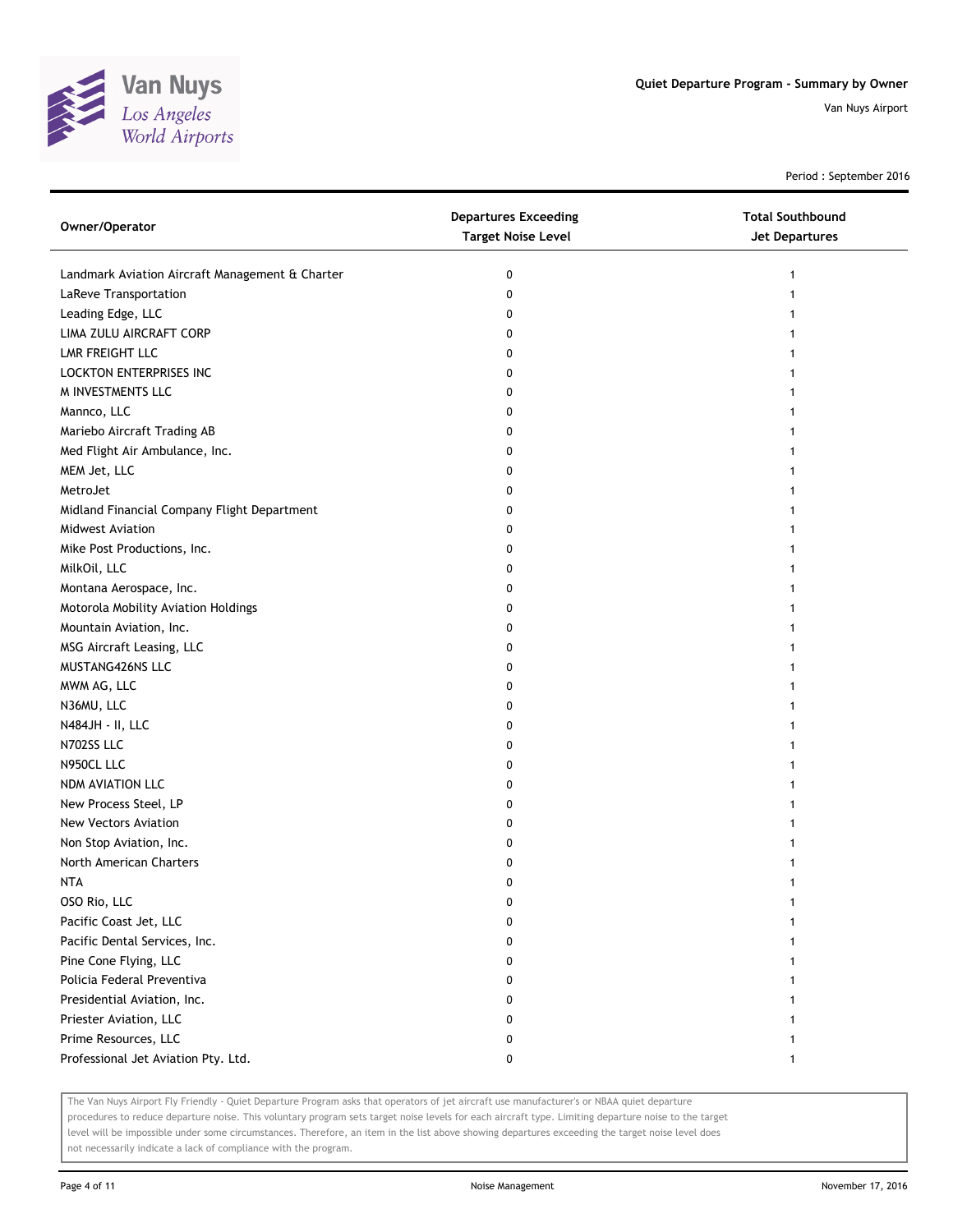

Period : September 2016

| Owner/Operator                                  | <b>Departures Exceeding</b><br><b>Target Noise Level</b> | <b>Total Southbound</b><br><b>Jet Departures</b> |
|-------------------------------------------------|----------------------------------------------------------|--------------------------------------------------|
| Landmark Aviation Aircraft Management & Charter | 0                                                        | 1                                                |
| LaReve Transportation                           | 0                                                        |                                                  |
| Leading Edge, LLC                               | 0                                                        |                                                  |
| LIMA ZULU AIRCRAFT CORP                         | 0                                                        |                                                  |
| LMR FREIGHT LLC                                 | 0                                                        |                                                  |
| LOCKTON ENTERPRISES INC                         | 0                                                        |                                                  |
| M INVESTMENTS LLC                               | 0                                                        |                                                  |
| Mannco, LLC                                     | 0                                                        |                                                  |
| Mariebo Aircraft Trading AB                     | 0                                                        |                                                  |
| Med Flight Air Ambulance, Inc.                  | 0                                                        |                                                  |
| MEM Jet, LLC                                    | 0                                                        |                                                  |
| MetroJet                                        | 0                                                        |                                                  |
| Midland Financial Company Flight Department     | 0                                                        |                                                  |
| Midwest Aviation                                | 0                                                        |                                                  |
| Mike Post Productions, Inc.                     | 0                                                        |                                                  |
| MilkOil, LLC                                    | 0                                                        |                                                  |
| Montana Aerospace, Inc.                         | 0                                                        |                                                  |
| Motorola Mobility Aviation Holdings             | 0                                                        |                                                  |
| Mountain Aviation, Inc.                         | 0                                                        |                                                  |
| MSG Aircraft Leasing, LLC                       | 0                                                        |                                                  |
| MUSTANG426NS LLC                                | 0                                                        |                                                  |
| MWM AG, LLC                                     | 0                                                        |                                                  |
| N36MU, LLC                                      | 0                                                        |                                                  |
| N484JH - II, LLC                                | 0                                                        |                                                  |
| N702SS LLC                                      | 0                                                        |                                                  |
| N950CL LLC                                      | 0                                                        |                                                  |
| NDM AVIATION LLC                                | 0                                                        |                                                  |
| New Process Steel, LP                           | 0                                                        |                                                  |
| New Vectors Aviation                            | 0                                                        |                                                  |
| Non Stop Aviation, Inc.                         | 0                                                        |                                                  |
| North American Charters                         | 0                                                        |                                                  |
| <b>NTA</b>                                      | 0                                                        |                                                  |
| OSO Rio, LLC                                    | 0                                                        |                                                  |
| Pacific Coast Jet, LLC                          | 0                                                        |                                                  |
| Pacific Dental Services, Inc.                   | 0                                                        |                                                  |
| Pine Cone Flying, LLC                           | 0                                                        |                                                  |
| Policia Federal Preventiva                      | 0                                                        |                                                  |
| Presidential Aviation, Inc.                     | 0                                                        |                                                  |
| Priester Aviation, LLC                          | 0                                                        |                                                  |
| Prime Resources, LLC                            | 0                                                        |                                                  |
| Professional Jet Aviation Pty. Ltd.             | 0                                                        | 1                                                |

The Van Nuys Airport Fly Friendly - Quiet Departure Program asks that operators of jet aircraft use manufacturer's or NBAA quiet departure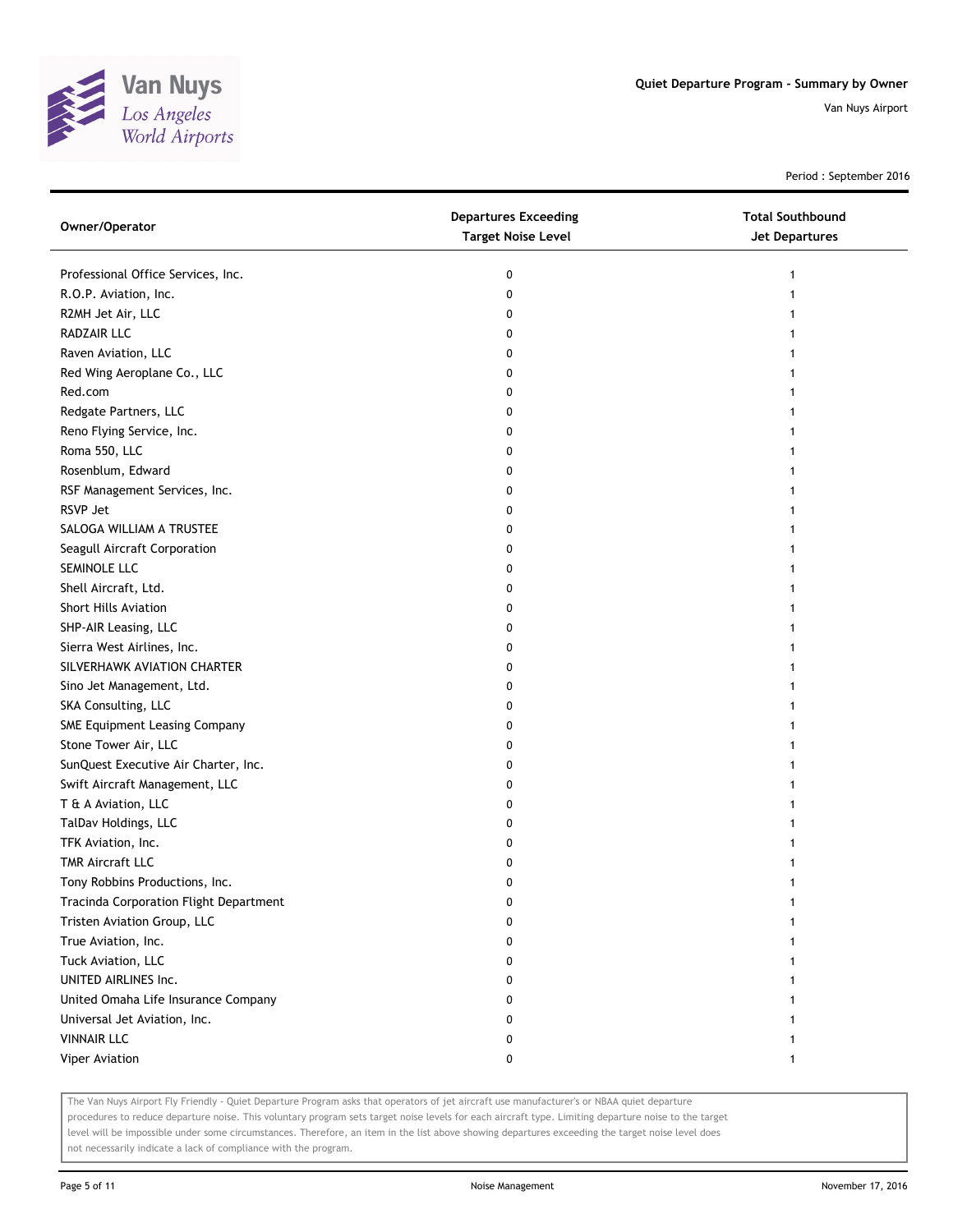

Period : September 2016

| Owner/Operator                         | <b>Departures Exceeding</b><br><b>Target Noise Level</b> | <b>Total Southbound</b><br>Jet Departures |
|----------------------------------------|----------------------------------------------------------|-------------------------------------------|
| Professional Office Services, Inc.     | 0                                                        |                                           |
| R.O.P. Aviation, Inc.                  | 0                                                        |                                           |
| R2MH Jet Air, LLC                      | 0                                                        |                                           |
| RADZAIR LLC                            | 0                                                        |                                           |
| Raven Aviation, LLC                    | 0                                                        |                                           |
| Red Wing Aeroplane Co., LLC            | 0                                                        |                                           |
| Red.com                                | 0                                                        |                                           |
| Redgate Partners, LLC                  | 0                                                        |                                           |
| Reno Flying Service, Inc.              | 0                                                        |                                           |
| Roma 550, LLC                          | 0                                                        |                                           |
| Rosenblum, Edward                      | 0                                                        |                                           |
| RSF Management Services, Inc.          | 0                                                        |                                           |
| RSVP Jet                               | 0                                                        |                                           |
| SALOGA WILLIAM A TRUSTEE               | 0                                                        |                                           |
| Seagull Aircraft Corporation           | 0                                                        |                                           |
| SEMINOLE LLC                           | 0                                                        |                                           |
| Shell Aircraft, Ltd.                   | 0                                                        |                                           |
| <b>Short Hills Aviation</b>            | 0                                                        |                                           |
| SHP-AIR Leasing, LLC                   | 0                                                        |                                           |
| Sierra West Airlines, Inc.             | 0                                                        |                                           |
| SILVERHAWK AVIATION CHARTER            | 0                                                        |                                           |
| Sino Jet Management, Ltd.              | 0                                                        |                                           |
| SKA Consulting, LLC                    | 0                                                        |                                           |
| SME Equipment Leasing Company          | 0                                                        |                                           |
| Stone Tower Air, LLC                   | 0                                                        |                                           |
| SunQuest Executive Air Charter, Inc.   | 0                                                        |                                           |
| Swift Aircraft Management, LLC         | 0                                                        |                                           |
| T & A Aviation, LLC                    | 0                                                        |                                           |
| TalDav Holdings, LLC                   | 0                                                        |                                           |
| TFK Aviation, Inc.                     | 0                                                        |                                           |
| <b>TMR Aircraft LLC</b>                | 0                                                        |                                           |
| Tony Robbins Productions, Inc.         | 0                                                        |                                           |
| Tracinda Corporation Flight Department | 0                                                        |                                           |
| Tristen Aviation Group, LLC            | 0                                                        |                                           |
| True Aviation, Inc.                    | 0                                                        |                                           |
| Tuck Aviation, LLC                     | 0                                                        |                                           |
| UNITED AIRLINES Inc.                   | 0                                                        |                                           |
| United Omaha Life Insurance Company    | 0                                                        |                                           |
| Universal Jet Aviation, Inc.           | 0                                                        |                                           |
| <b>VINNAIR LLC</b>                     | 0                                                        |                                           |
| Viper Aviation                         | 0                                                        | 1                                         |

The Van Nuys Airport Fly Friendly - Quiet Departure Program asks that operators of jet aircraft use manufacturer's or NBAA quiet departure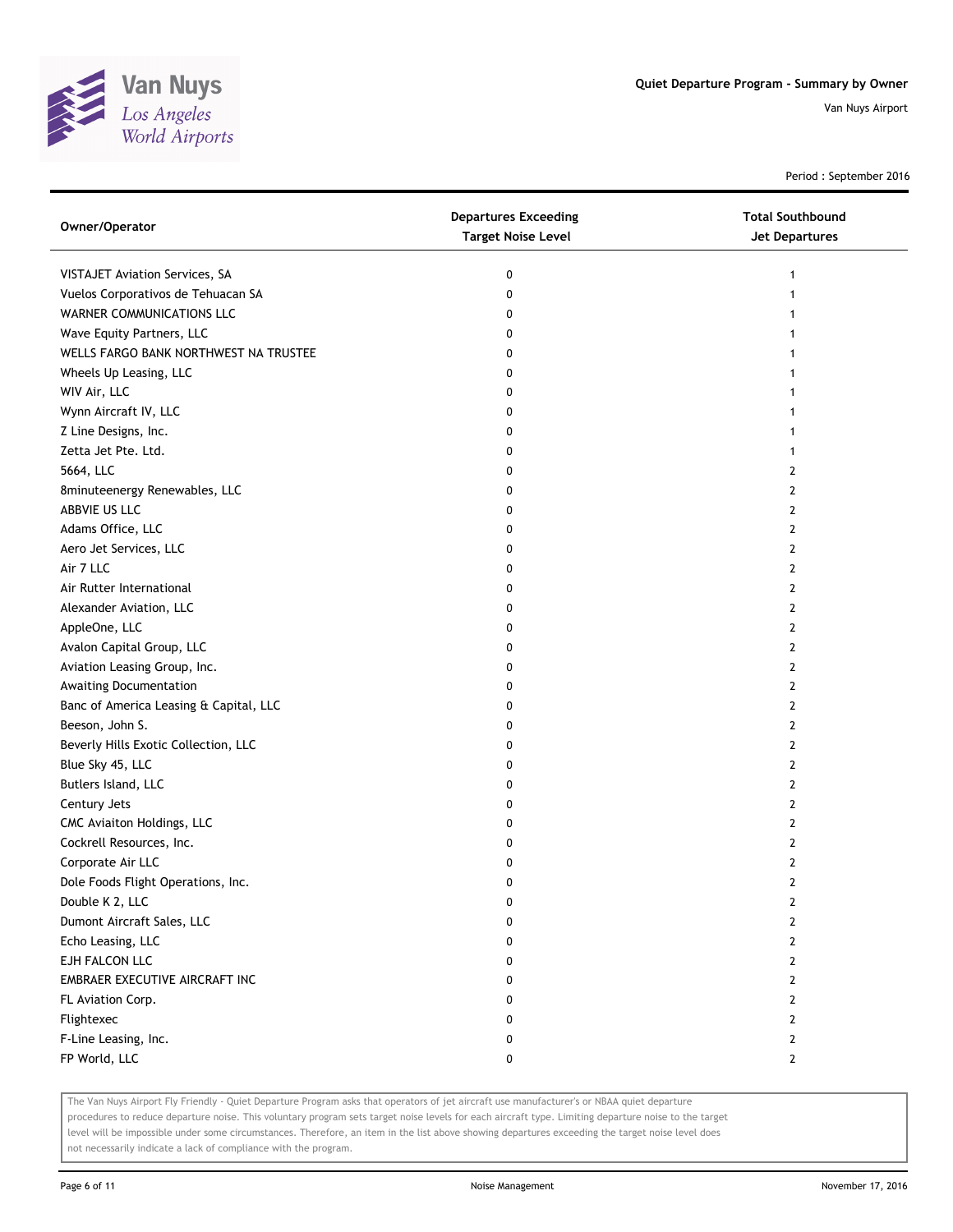

Period : September 2016

| Owner/Operator                         | <b>Departures Exceeding</b><br><b>Target Noise Level</b> | <b>Total Southbound</b><br><b>Jet Departures</b> |
|----------------------------------------|----------------------------------------------------------|--------------------------------------------------|
| VISTAJET Aviation Services, SA         | 0                                                        |                                                  |
| Vuelos Corporativos de Tehuacan SA     | 0                                                        |                                                  |
| WARNER COMMUNICATIONS LLC              | 0                                                        |                                                  |
| Wave Equity Partners, LLC              | 0                                                        |                                                  |
| WELLS FARGO BANK NORTHWEST NA TRUSTEE  | 0                                                        |                                                  |
| Wheels Up Leasing, LLC                 | 0                                                        |                                                  |
| WIV Air, LLC                           | 0                                                        |                                                  |
| Wynn Aircraft IV, LLC                  | 0                                                        |                                                  |
| Z Line Designs, Inc.                   | 0                                                        |                                                  |
| Zetta Jet Pte. Ltd.                    | 0                                                        |                                                  |
| 5664, LLC                              | 0                                                        | 2                                                |
| 8minuteenergy Renewables, LLC          | 0                                                        | 2                                                |
| ABBVIE US LLC                          | 0                                                        | 2                                                |
| Adams Office, LLC                      | 0                                                        | 2                                                |
| Aero Jet Services, LLC                 | 0                                                        | 2                                                |
| Air 7 LLC                              | 0                                                        | $\overline{2}$                                   |
| Air Rutter International               | 0                                                        | 2                                                |
| Alexander Aviation, LLC                | 0                                                        | $\mathbf{2}$                                     |
| AppleOne, LLC                          | 0                                                        | 2                                                |
| Avalon Capital Group, LLC              | 0                                                        | 2                                                |
| Aviation Leasing Group, Inc.           | 0                                                        | $\overline{2}$                                   |
| Awaiting Documentation                 | 0                                                        | 2                                                |
| Banc of America Leasing & Capital, LLC | 0                                                        | 2                                                |
| Beeson, John S.                        | 0                                                        | 2                                                |
| Beverly Hills Exotic Collection, LLC   | 0                                                        | $\overline{2}$                                   |
| Blue Sky 45, LLC                       | 0                                                        | $\mathbf{2}$                                     |
| Butlers Island, LLC                    | 0                                                        | 2                                                |
| Century Jets                           | 0                                                        | 2                                                |
| CMC Aviaiton Holdings, LLC             | 0                                                        | 2                                                |
| Cockrell Resources, Inc.               | 0                                                        | $\overline{2}$                                   |
| Corporate Air LLC                      | 0                                                        | 2                                                |
| Dole Foods Flight Operations, Inc.     | 0                                                        | $\overline{2}$                                   |
| Double K 2, LLC                        | 0                                                        | 2                                                |
| Dumont Aircraft Sales, LLC             | 0                                                        | 2                                                |
| Echo Leasing, LLC                      | 0                                                        | $\mathbf{2}$                                     |
| EJH FALCON LLC                         | 0                                                        | $\mathbf{2}$                                     |
| EMBRAER EXECUTIVE AIRCRAFT INC         | 0                                                        | $\mathbf{2}$                                     |
| FL Aviation Corp.                      | 0                                                        | $\mathbf{2}$                                     |
| Flightexec                             | 0                                                        | $\mathbf{2}$                                     |
| F-Line Leasing, Inc.                   | 0                                                        | $\mathbf{2}$                                     |
| FP World, LLC                          | 0                                                        | $\mathbf{2}$                                     |

The Van Nuys Airport Fly Friendly - Quiet Departure Program asks that operators of jet aircraft use manufacturer's or NBAA quiet departure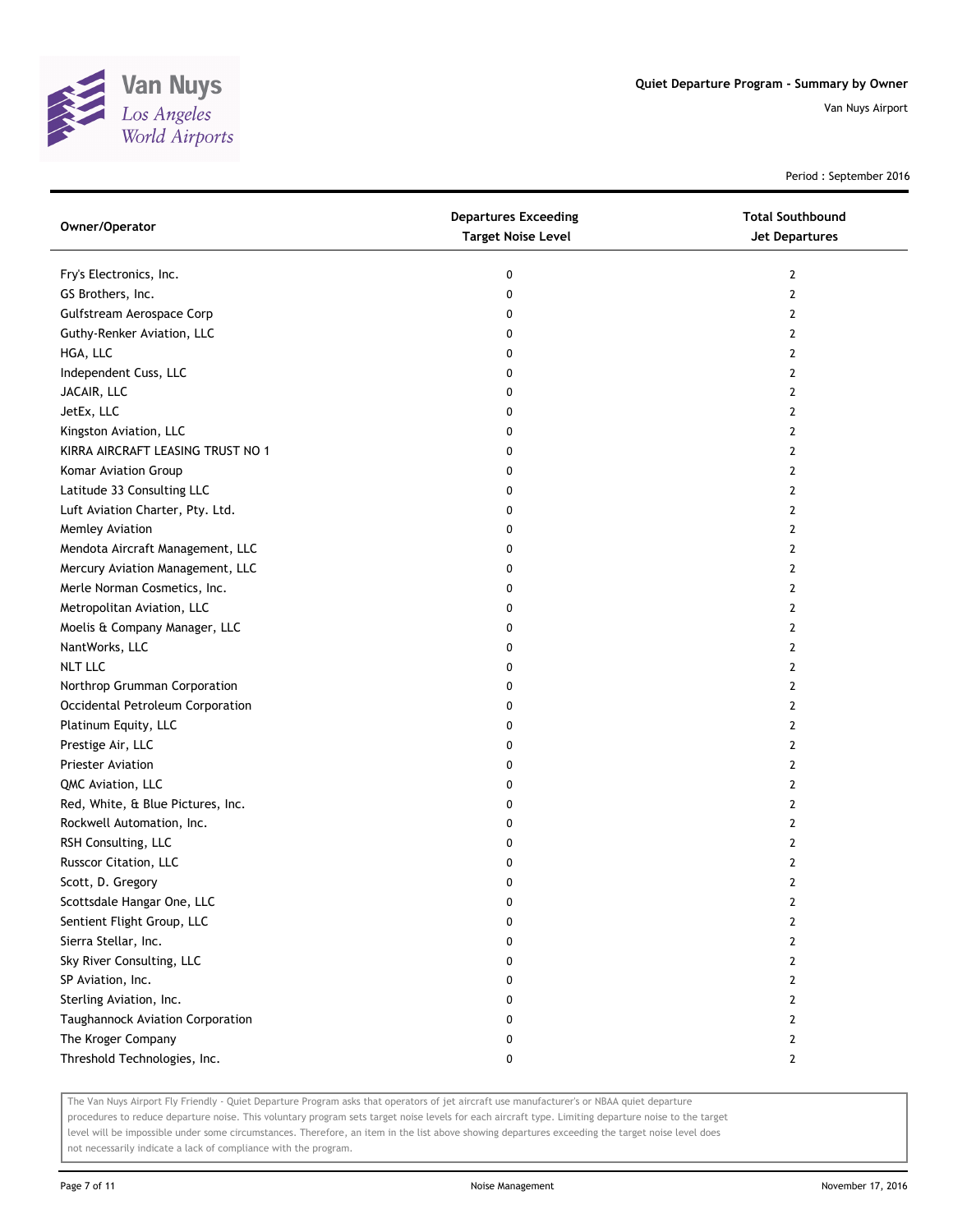

Period : September 2016

| Owner/Operator                    | <b>Departures Exceeding</b><br><b>Target Noise Level</b> | <b>Total Southbound</b><br>Jet Departures |
|-----------------------------------|----------------------------------------------------------|-------------------------------------------|
| Fry's Electronics, Inc.           | 0                                                        | 2                                         |
| GS Brothers, Inc.                 | 0                                                        | $\mathbf{2}$                              |
| Gulfstream Aerospace Corp         | 0                                                        | 2                                         |
| Guthy-Renker Aviation, LLC        | 0                                                        | 2                                         |
| HGA, LLC                          | 0                                                        | 2                                         |
| Independent Cuss, LLC             | 0                                                        | 2                                         |
| JACAIR, LLC                       | 0                                                        | 2                                         |
| JetEx, LLC                        | 0                                                        | 2                                         |
| Kingston Aviation, LLC            | 0                                                        | 2                                         |
| KIRRA AIRCRAFT LEASING TRUST NO 1 | 0                                                        | 2                                         |
| Komar Aviation Group              | 0                                                        | 2                                         |
| Latitude 33 Consulting LLC        | 0                                                        | 2                                         |
| Luft Aviation Charter, Pty. Ltd.  | 0                                                        | 2                                         |
| Memley Aviation                   | 0                                                        | $\mathbf{2}$                              |
| Mendota Aircraft Management, LLC  | 0                                                        | 2                                         |
| Mercury Aviation Management, LLC  | 0                                                        | 2                                         |
| Merle Norman Cosmetics, Inc.      | 0                                                        | 2                                         |
| Metropolitan Aviation, LLC        | 0                                                        | 2                                         |
| Moelis & Company Manager, LLC     | 0                                                        | 2                                         |
| NantWorks, LLC                    | 0                                                        | 2                                         |
| <b>NLT LLC</b>                    | 0                                                        | 2                                         |
| Northrop Grumman Corporation      | 0                                                        | $\mathbf{2}$                              |
| Occidental Petroleum Corporation  | 0                                                        | 2                                         |
| Platinum Equity, LLC              | 0                                                        | $\mathbf{2}$                              |
| Prestige Air, LLC                 | 0                                                        | 2                                         |
| Priester Aviation                 | 0                                                        | 2                                         |
| QMC Aviation, LLC                 | 0                                                        | $\mathbf{2}$                              |
| Red, White, & Blue Pictures, Inc. | 0                                                        | 2                                         |
| Rockwell Automation, Inc.         | 0                                                        | 2                                         |
| RSH Consulting, LLC               | 0                                                        | 2                                         |
| Russcor Citation, LLC             | 0                                                        | 2                                         |
| Scott, D. Gregory                 | 0                                                        | $\overline{2}$                            |
| Scottsdale Hangar One, LLC        | U                                                        | $\mathbf{z}$                              |
| Sentient Flight Group, LLC        | 0                                                        | 2                                         |
| Sierra Stellar, Inc.              | 0                                                        | 2                                         |
| Sky River Consulting, LLC         | 0                                                        | 2                                         |
| SP Aviation, Inc.                 | 0                                                        | 2                                         |
| Sterling Aviation, Inc.           | 0                                                        | 2                                         |
| Taughannock Aviation Corporation  | 0                                                        | 2                                         |
| The Kroger Company                | 0                                                        | 2                                         |
| Threshold Technologies, Inc.      | 0                                                        | $\mathbf{2}$                              |

The Van Nuys Airport Fly Friendly - Quiet Departure Program asks that operators of jet aircraft use manufacturer's or NBAA quiet departure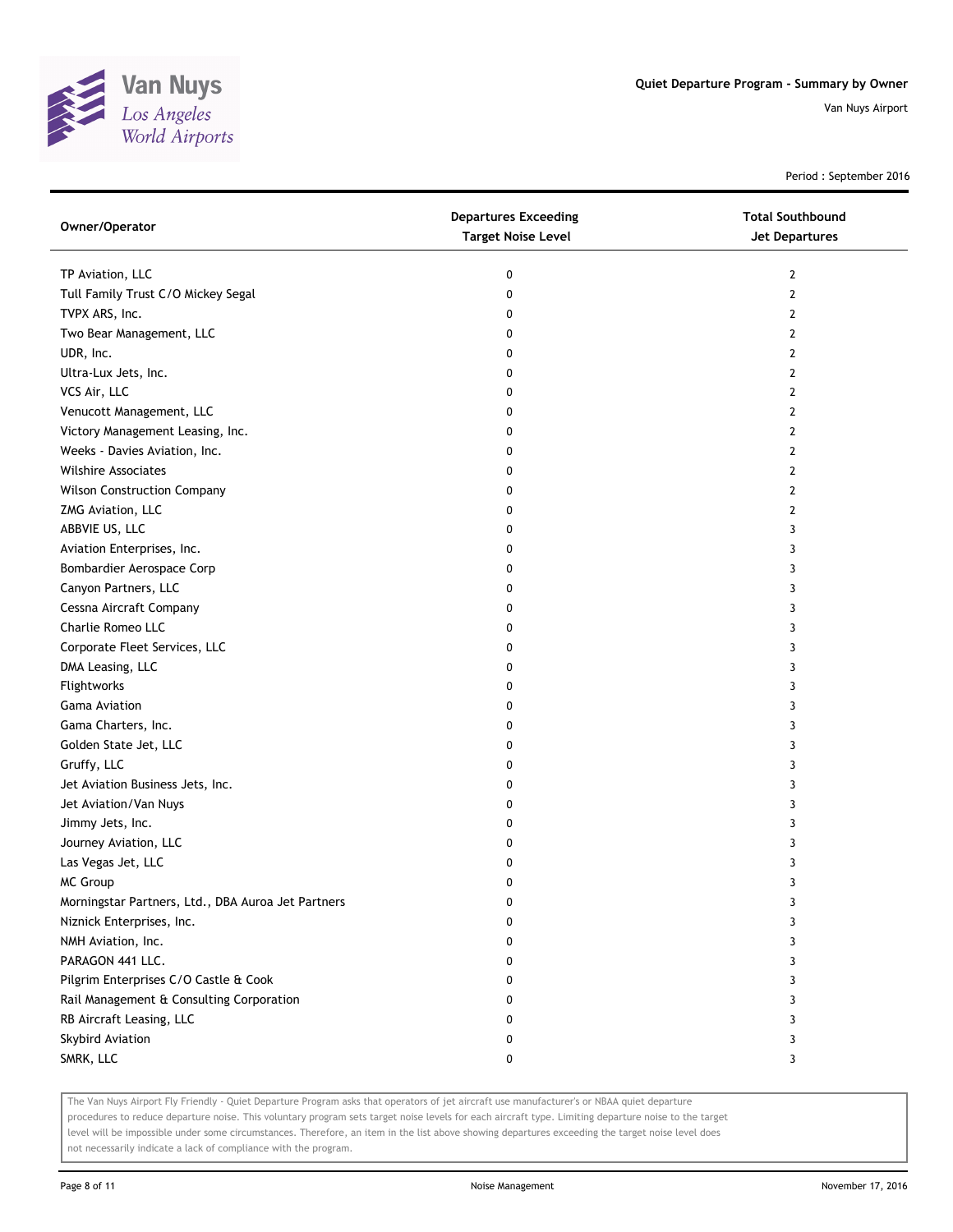

Period : September 2016

| Owner/Operator                                     | <b>Departures Exceeding</b><br><b>Target Noise Level</b> | <b>Total Southbound</b><br>Jet Departures |
|----------------------------------------------------|----------------------------------------------------------|-------------------------------------------|
| TP Aviation, LLC                                   | 0                                                        | 2                                         |
| Tull Family Trust C/O Mickey Segal                 | 0                                                        | $\overline{2}$                            |
| TVPX ARS, Inc.                                     | 0                                                        | 2                                         |
| Two Bear Management, LLC                           | 0                                                        | 2                                         |
| UDR, Inc.                                          | 0                                                        | 2                                         |
| Ultra-Lux Jets, Inc.                               | 0                                                        | 2                                         |
| VCS Air, LLC                                       | 0                                                        | 2                                         |
| Venucott Management, LLC                           | 0                                                        | 2                                         |
| Victory Management Leasing, Inc.                   | 0                                                        | 2                                         |
| Weeks - Davies Aviation, Inc.                      | 0                                                        | 2                                         |
| <b>Wilshire Associates</b>                         | 0                                                        | 2                                         |
| <b>Wilson Construction Company</b>                 | 0                                                        | 2                                         |
| ZMG Aviation, LLC                                  | 0                                                        | 2                                         |
| ABBVIE US, LLC                                     | 0                                                        | 3                                         |
| Aviation Enterprises, Inc.                         | 0                                                        | 3                                         |
| Bombardier Aerospace Corp                          | 0                                                        | 3                                         |
| Canyon Partners, LLC                               | 0                                                        | 3                                         |
| Cessna Aircraft Company                            | 0                                                        | 3                                         |
| Charlie Romeo LLC                                  | 0                                                        | 3                                         |
| Corporate Fleet Services, LLC                      | 0                                                        | 3                                         |
| DMA Leasing, LLC                                   | 0                                                        | 3                                         |
| Flightworks                                        | 0                                                        | 3                                         |
| <b>Gama Aviation</b>                               | 0                                                        | 3                                         |
| Gama Charters, Inc.                                | 0                                                        | 3                                         |
| Golden State Jet, LLC                              | 0                                                        | 3                                         |
| Gruffy, LLC                                        | 0                                                        | 3                                         |
| Jet Aviation Business Jets, Inc.                   | 0                                                        | 3                                         |
| Jet Aviation/Van Nuys                              | 0                                                        | 3                                         |
| Jimmy Jets, Inc.                                   | 0                                                        | 3                                         |
| Journey Aviation, LLC                              | 0                                                        | 3                                         |
| Las Vegas Jet, LLC                                 | 0                                                        | 3                                         |
| MC Group                                           | 0                                                        | 3                                         |
| Morningstar Partners, Ltd., DBA Auroa Jet Partners | o                                                        | 3                                         |
| Niznick Enterprises, Inc.                          | 0                                                        | 3                                         |
| NMH Aviation, Inc.                                 | 0                                                        | 3                                         |
| PARAGON 441 LLC.                                   | 0                                                        | 3                                         |
| Pilgrim Enterprises C/O Castle & Cook              | 0                                                        | 3                                         |
| Rail Management & Consulting Corporation           | 0                                                        | 3                                         |
| RB Aircraft Leasing, LLC                           | 0                                                        | 3                                         |
| Skybird Aviation                                   | 0                                                        | 3                                         |
| SMRK, LLC                                          | 0                                                        | 3                                         |

The Van Nuys Airport Fly Friendly - Quiet Departure Program asks that operators of jet aircraft use manufacturer's or NBAA quiet departure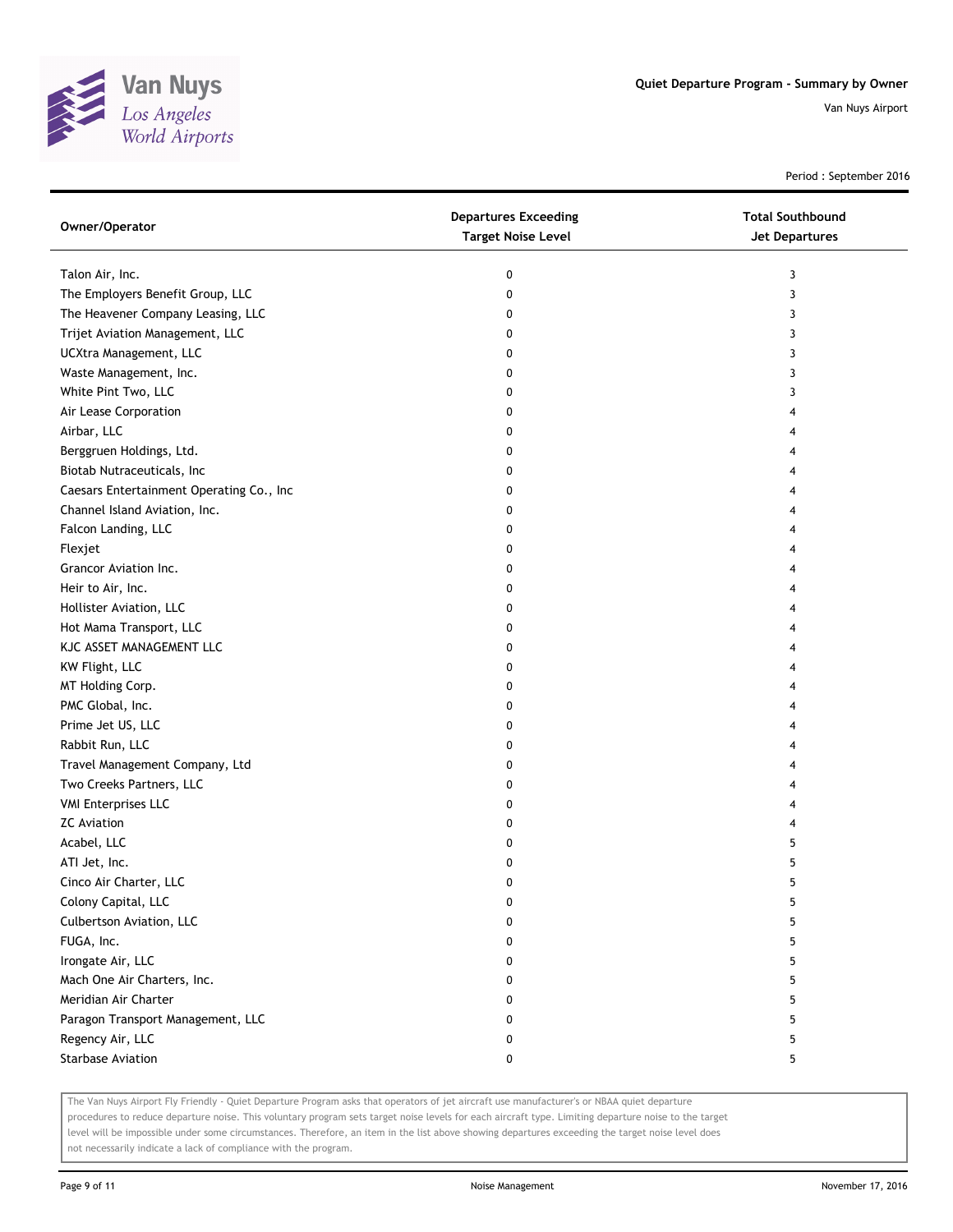

Period : September 2016

| Owner/Operator                           | <b>Departures Exceeding</b><br><b>Target Noise Level</b> | <b>Total Southbound</b><br>Jet Departures |
|------------------------------------------|----------------------------------------------------------|-------------------------------------------|
| Talon Air, Inc.                          | 0                                                        | 3                                         |
| The Employers Benefit Group, LLC         | 0                                                        | 3                                         |
| The Heavener Company Leasing, LLC        | 0                                                        | 3                                         |
| Trijet Aviation Management, LLC          | 0                                                        | 3                                         |
| UCXtra Management, LLC                   | 0                                                        | 3                                         |
| Waste Management, Inc.                   | 0                                                        | 3                                         |
| White Pint Two, LLC                      | 0                                                        | 3                                         |
| Air Lease Corporation                    | 0                                                        | 4                                         |
| Airbar, LLC                              | 0                                                        | 4                                         |
| Berggruen Holdings, Ltd.                 | 0                                                        | 4                                         |
| Biotab Nutraceuticals, Inc               | 0                                                        | 4                                         |
| Caesars Entertainment Operating Co., Inc | 0                                                        | 4                                         |
| Channel Island Aviation, Inc.            | 0                                                        | 4                                         |
| Falcon Landing, LLC                      | 0                                                        | 4                                         |
| Flexjet                                  | 0                                                        | 4                                         |
| Grancor Aviation Inc.                    | 0                                                        | 4                                         |
| Heir to Air, Inc.                        | 0                                                        | 4                                         |
| Hollister Aviation, LLC                  | 0                                                        | 4                                         |
| Hot Mama Transport, LLC                  | 0                                                        | 4                                         |
| KJC ASSET MANAGEMENT LLC                 | 0                                                        | 4                                         |
| KW Flight, LLC                           | 0                                                        | 4                                         |
| MT Holding Corp.                         | 0                                                        | 4                                         |
| PMC Global, Inc.                         | 0                                                        | 4                                         |
| Prime Jet US, LLC                        | 0                                                        | 4                                         |
| Rabbit Run, LLC                          | 0                                                        | 4                                         |
| Travel Management Company, Ltd           | 0                                                        | 4                                         |
| Two Creeks Partners, LLC                 | 0                                                        | 4                                         |
| <b>VMI Enterprises LLC</b>               | 0                                                        | 4                                         |
| <b>ZC Aviation</b>                       | 0                                                        | 4                                         |
| Acabel, LLC                              | 0                                                        | 5                                         |
| ATI Jet, Inc.                            | 0                                                        | 5                                         |
| Cinco Air Charter, LLC                   | 0                                                        | 5                                         |
| Colony Capital, LLC                      | 0                                                        | 5                                         |
| Culbertson Aviation, LLC                 | 0                                                        | 5                                         |
| FUGA, Inc.                               | 0                                                        | 5                                         |
| Irongate Air, LLC                        | 0                                                        | 5                                         |
| Mach One Air Charters, Inc.              | 0                                                        | 5                                         |
| Meridian Air Charter                     | 0                                                        | 5                                         |
| Paragon Transport Management, LLC        | 0                                                        | 5                                         |
| Regency Air, LLC                         | 0                                                        | 5                                         |
| <b>Starbase Aviation</b>                 | 0                                                        | 5                                         |

The Van Nuys Airport Fly Friendly - Quiet Departure Program asks that operators of jet aircraft use manufacturer's or NBAA quiet departure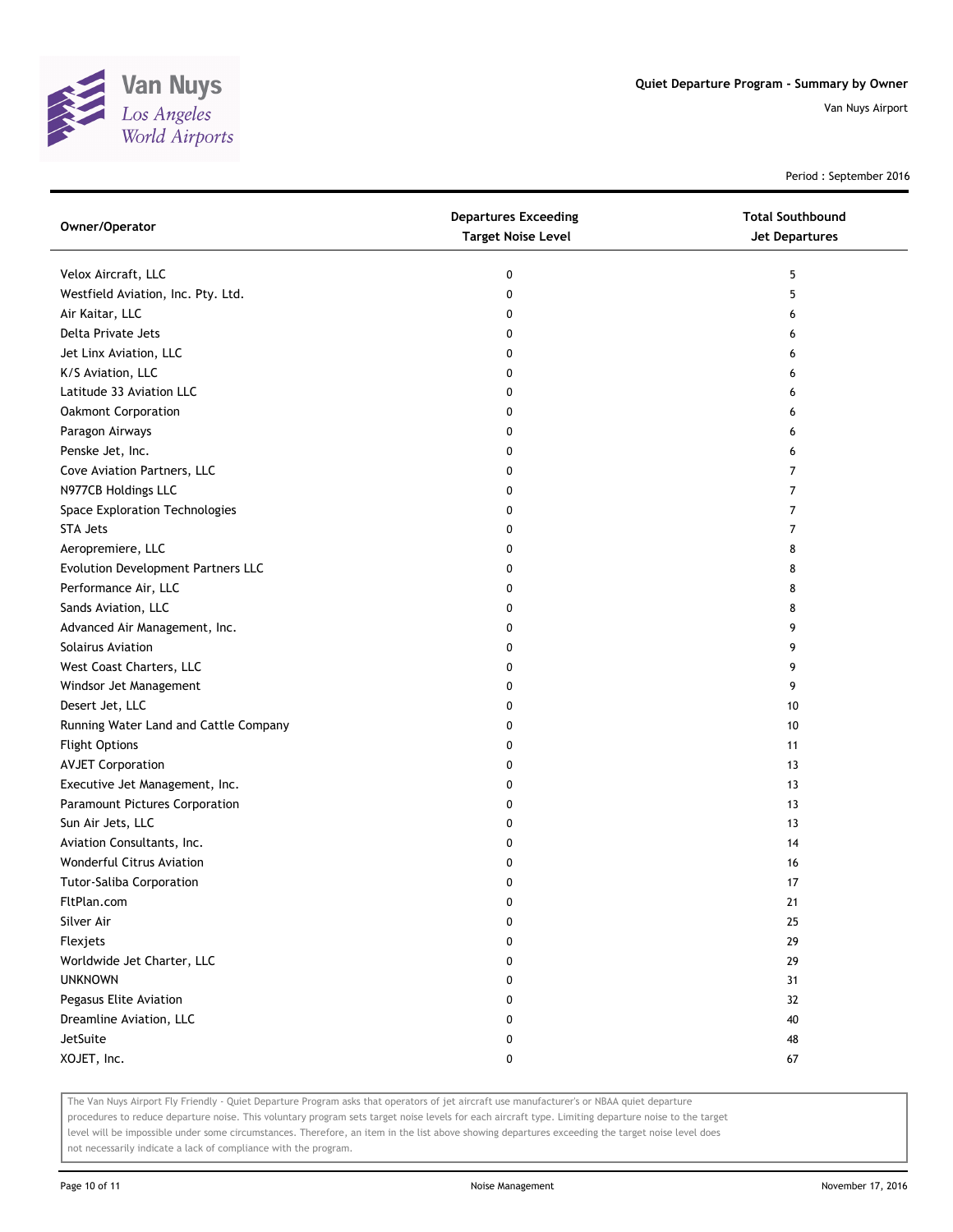

Period : September 2016

| Owner/Operator                        | <b>Departures Exceeding</b><br><b>Target Noise Level</b> | <b>Total Southbound</b><br><b>Jet Departures</b> |
|---------------------------------------|----------------------------------------------------------|--------------------------------------------------|
| Velox Aircraft, LLC                   | 0                                                        | 5                                                |
| Westfield Aviation, Inc. Pty. Ltd.    | 0                                                        | 5                                                |
| Air Kaitar, LLC                       | 0                                                        | 6                                                |
| Delta Private Jets                    | 0                                                        | 6                                                |
| Jet Linx Aviation, LLC                | 0                                                        | 6                                                |
| K/S Aviation, LLC                     | 0                                                        | 6                                                |
| Latitude 33 Aviation LLC              | 0                                                        | 6                                                |
| Oakmont Corporation                   | 0                                                        | 6                                                |
| Paragon Airways                       | 0                                                        | 6                                                |
| Penske Jet, Inc.                      | 0                                                        | 6                                                |
| Cove Aviation Partners, LLC           | 0                                                        | $\overline{7}$                                   |
| N977CB Holdings LLC                   | 0                                                        | 7                                                |
| Space Exploration Technologies        | 0                                                        | 7                                                |
| STA Jets                              | 0                                                        | 7                                                |
| Aeropremiere, LLC                     | 0                                                        | 8                                                |
| Evolution Development Partners LLC    | 0                                                        | 8                                                |
| Performance Air, LLC                  | 0                                                        | 8                                                |
| Sands Aviation, LLC                   | 0                                                        | 8                                                |
| Advanced Air Management, Inc.         | 0                                                        | 9                                                |
| Solairus Aviation                     | 0                                                        | 9                                                |
| West Coast Charters, LLC              | 0                                                        | 9                                                |
| Windsor Jet Management                | 0                                                        | 9                                                |
| Desert Jet, LLC                       | 0                                                        | 10                                               |
| Running Water Land and Cattle Company | 0                                                        | 10                                               |
| <b>Flight Options</b>                 | 0                                                        | 11                                               |
| <b>AVJET Corporation</b>              | 0                                                        | 13                                               |
| Executive Jet Management, Inc.        | 0                                                        | 13                                               |
| Paramount Pictures Corporation        | 0                                                        | 13                                               |
| Sun Air Jets, LLC                     | 0                                                        | 13                                               |
| Aviation Consultants, Inc.            | 0                                                        | 14                                               |
| Wonderful Citrus Aviation             | 0                                                        | 16                                               |
| <b>Tutor-Saliba Corporation</b>       | 0                                                        | 17                                               |
| FltPlan.com                           | 0                                                        | <u>21</u>                                        |
| Silver Air                            | 0                                                        | 25                                               |
| Flexjets                              | 0                                                        | 29                                               |
| Worldwide Jet Charter, LLC            | 0                                                        | 29                                               |
| <b>UNKNOWN</b>                        | 0                                                        | 31                                               |
| Pegasus Elite Aviation                | 0                                                        | 32                                               |
| Dreamline Aviation, LLC               | 0                                                        | 40                                               |
| JetSuite                              | 0                                                        | 48                                               |
| XOJET, Inc.                           | 0                                                        | 67                                               |

The Van Nuys Airport Fly Friendly - Quiet Departure Program asks that operators of jet aircraft use manufacturer's or NBAA quiet departure